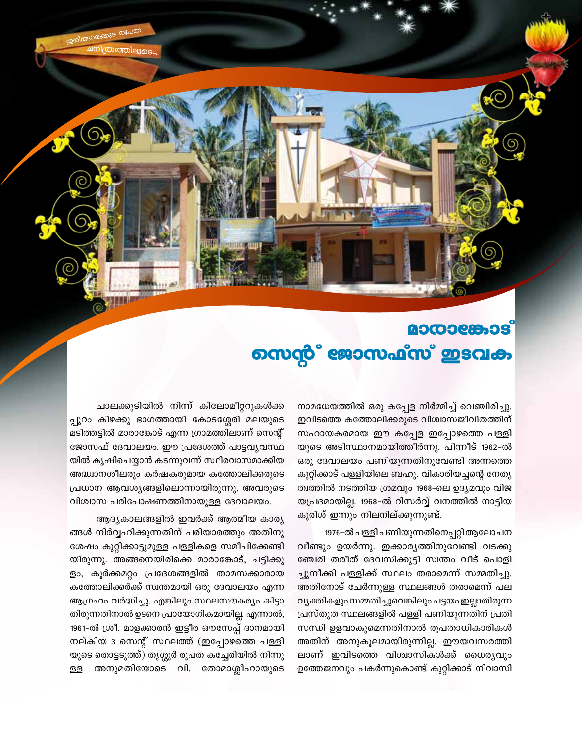# നെന്റ് ജോസഫ്സ് ഇടവക

നാമധേയത്തിൽ ഒരു കപ്പേള നിർമ്മിച്ച് വെഞ്ചിരിച്ചു. ഇവിടത്തെ കത്തോലിക്കരുടെ വിശ്വാസജീവിതത്തിന് സഹായകരമായ ഈ കപ്പേള ഇപ്പോഴത്തെ പള്ളി യുടെ അടിസ്ഥാനമായിത്തീർന്നു. പിന്നീട് 1962-ൽ ഒരു ദേവാലയം പണിയുന്നതിനുവേണ്ടി അന്നത്തെ കുറ്റിക്കാട് പള്ളിയിലെ ബഹു. വികാരിയച്ചന്റെ നേതൃ ത്വത്തിൽ നടത്തിയ ശ്രമവും 1968-ലെ ഉദ്യമവും വിജ യപ്രദമായില്ല. 1968-ൽ റിസർവ്വ് വനത്തിൽ നാട്ടിയ കുരിശ് ഇന്നും നിലനില്ക്കുന്നുണ്ട്.

1976-ൽ പള്ളി പണിയുന്നതിനെപ്പറ്റി ആലോചന വീണ്ടും ഉയർന്നു. ഇക്കാര്യത്തിനുവേണ്ടി വടക്കു ഞ്ചേരി തരീത് ദേവസിക്കുട്ടി സ്വന്തം വീട് പൊളി ച്ചുനീക്കി പള്ളിക്ക് സ്ഥലം തരാമെന്ന് സമ്മതിച്ചു. അതിനോട് ചേർന്നുള്ള സ്ഥലങ്ങൾ തരാമെന്ന് പല വ്യക്തികളും സമ്മതിച്ചുവെങ്കിലും പട്ടയം ഇല്ലാതിരുന്ന പ്രസ്തുത സ്ഥലങ്ങളിൽ പള്ളി പണിയുന്നതിന് പ്രതി സന്ധി ഉളവാകുമെന്നതിനാൽ രൂപതാധികാരികൾ അതിന് അനുകൂലമായിരുന്നില്ല. ഈയവസരത്തി ലാണ് ഇവിടത്തെ വിശ്വാസികൾക്ക് ധൈര്യവും ഉത്തേജനവും പകർന്നുകൊണ്ട് കുറ്റിക്കാട് നിവാസി

ചാലക്കുടിയിൽ നിന്ന് കിലോമീറ്ററുകൾക്ക പ്പുറം കിഴക്കു ഭാഗത്തായി കോടശ്ശേരി മലയുടെ മടിത്തട്ടിൽ മാരാങ്കോട് എന്ന ഗ്രാമത്തിലാണ് സെന്റ് ജോസഫ് ദേവാലയം. ഈ പ്രദേശത്ത് പാട്ടവൃവസ്ഥ യിൽ കൃഷിചെയ്യാൻ കടന്നുവന്ന് സ്ഥിരവാസമാക്കിയ അദ്ധ്വാനശീലരും കർഷകരുമായ കത്തോലിക്കരുടെ പ്രധാന ആവശ്യങ്ങളിലൊന്നായിരുന്നു, അവരുടെ വിശ്വാസ പരിപോഷണത്തിനായുള്ള ദേവാലയം.

ആദ്യകാലങ്ങളിൽ ഇവർക്ക് ആത്മീയ കാര്യ ങ്ങൾ നിർവ്വഹിക്കുന്നതിന് പരിയാരത്തും അതിനു ശേഷം കുറ്റിക്കാട്ടുമുള്ള പള്ളികളെ സമീപിക്കേണ്ടി യിരുന്നു. അങ്ങനെയിരിക്കെ മാരാങ്കോട്, ചട്ടിക്കു ളം, കൂർക്കമറ്റം പ്രദേശങ്ങളിൽ താമസക്കാരായ കത്തോലിക്കർക്ക് സ്വന്തമായി ഒരു ദേവാലയം എന്ന ആഗ്രഹം വർദ്ധിച്ചു. എങ്കിലും സ്ഥലസൗകര്യം കിട്ടാ തിരുന്നതിനാൽ ഉടനെ പ്രായോഗികമായില്ല. എന്നാൽ, 1961-ൽ ശ്രീ. മാളക്കാരൻ ഇട്ടീര ഔസേപ്പ് ദാനമായി നല്കിയ 3 സെന്റ് സ്ഥലത്ത് (ഇപ്പോഴത്തെ പള്ളി യുടെ തൊട്ടടുത്ത്) തൃശ്ശൂർ രൂപത കച്ചേരിയിൽ നിന്നു അനുമതിയോടെ വി. തോമാശ്ലീഹായുടെ ള്ള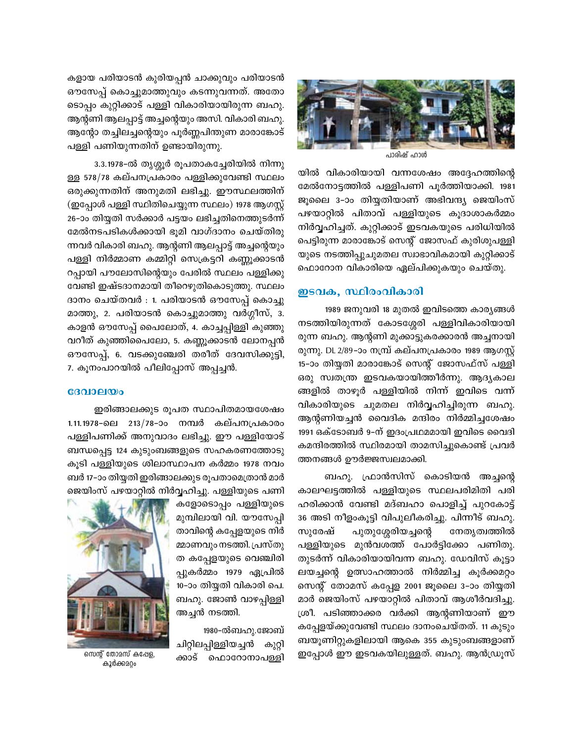

പാരിഷ് ഹാൾ

യിൽ വികാരിയായി വന്നശേഷം അദ്ദേഹത്തിന്റെ മേൽനോട്ടത്തിൽ പള്ളിപണി പൂർത്തിയാക്കി. 1981 ജൂലൈ 3-ാം തിയ്യതിയാണ് അഭിവന്ദ്യ ജെയിംസ് പഴയാറ്റിൽ പിതാവ് പള്ളിയുടെ കൂദാശാകർമ്മം നിർവ്വഹിച്ചത്. കുറ്റിക്കാട് ഇടവകയുടെ പരിധിയിൽ പെട്ടിരുന്ന മാരാങ്കോട് സെന്റ് ജോസഫ് കുരിശുപള്ളി യുടെ നടത്തിപ്പുചുമതല സ്വാഭാവികമായി കുറ്റിക്കാട് ഫൊറോന വികാരിയെ ഏല്പിക്കുകയും ചെയ്തു.

### ഇടവക, സ്ഥിരംവികാരി

1989 ജനുവരി 18 മുതൽ ഇവിടത്തെ കാര്യങ്ങൾ നടത്തിയിരുന്നത് കോടശ്ശേരി പള്ളിവികാരിയായി രുന്ന ബഹു. ആന്റണി മുക്കാട്ടുകരക്കാരൻ അച്ചനായി രുന്നു. DL 2/89–ാം നന്ധ്ര കല്പനപ്രകാരം 1989 ആഗസ്റ്റ് 15-ാം തിയ്യതി മാരാങ്കോട് സെന്റ് ജോസഫ്സ് പള്ളി ഒരു സ്വതന്ത്ര ഇടവകയായിത്തീർന്നു. ആദ്യകാല ങ്ങളിൽ താഴൂർ പള്ളിയിൽ നിന്ന് ഇവിടെ വന്ന് വികാരിയുടെ ചുമതല നിർവ്വഹിച്ചിരുന്ന ബഹു. ആന്റണിയച്ചൻ വൈദിക മന്ദിരം നിർമ്മിച്ചശേഷം 1991 ഒക്ടോബർ 9-ന് ഇദംപ്രഥമമായി ഇവിടെ വൈദി കമന്ദിരത്തിൽ സ്ഥിരമായി താമസിച്ചുകൊണ്ട് പ്രവർ ത്തനങ്ങൾ ഊർജ്ജസ്വലമാക്കി.

ബഹു. ഫ്രാൻസിസ് കൊടിയൻ അച്ചന്റെ കാലഘട്ടത്തിൽ പള്ളിയുടെ സ്ഥലപരിമിതി പരി ഹരിക്കാൻ വേണ്ടി മദ്ബഹാ പൊളിച്ച് പുറകോട്ട് 36 അടി നീളംകൂട്ടി വിപുലീകരിച്ചു. പിന്നീട് ബഹു. പുതുശ്ശേരിയച്ചന്റെ സുരേഷ് നേതൃത്വത്തിൽ പള്ളിയുടെ മുൻവശത്ത് പോർട്ടിക്കോ പണിതു. തുടർന്ന് വികാരിയായിവന്ന ബഹു. ഡേവിസ് കുട്ടാ ലയച്ചന്റെ ഉത്സാഹത്താൽ നിർമ്മിച്ച കൂർക്കമറ്റം സെന്റ് തോമസ് കപ്പേള 2001 ജൂലൈ 3–ാം തിയ്യതി മാർ ജെയിംസ് പഴയാറ്റിൽ പിതാവ് ആശീർവദിച്ചു. ശ്രീ. പടിഞ്ഞാക്കര വർക്കി ആന്റണിയാണ് ഈ കപ്പേളയ്ക്കുവേണ്ടി സ്ഥലം ദാനംചെയ്തത്. 11 കുടും ബയൂണിറ്റുകളിലായി ആകെ 355 കുടുംബങ്ങളാണ് ഇപ്പോൾ ഈ ഇടവകയിലുള്ളത്. ബഹു. ആൻഡ്രൂസ്

കളായ പരിയാടൻ കുരിയപ്പൻ ചാക്കുവും പരിയാടൻ ഔസേപ്പ് കൊച്ചുമാത്തുവും കടന്നുവന്നത്. അതോ ടൊപ്പം കുറ്റിക്കാട് പള്ളി വികാരിയായിരുന്ന ബഹു. ആന്റണി ആലപ്പാട്ട് അച്ചന്റെയും അസി. വികാരി ബഹു. ആന്റോ തച്ചിലച്ചന്റെയും പൂർണ്ണപിന്തുണ മാരാങ്കോട് പള്ളി പണിയുന്നതിന് ഉണ്ടായിരുന്നു.

3.3.1978-ൽ തൃശ്ശൂർ രൂപതാകച്ചേരിയിൽ നിന്നു ള്ള 578/78 കല്പനപ്രകാരം പള്ളിക്കുവേണ്ടി സ്ഥലം ഒരുക്കുന്നതിന് അനുമതി ലഭിച്ചു. ഈസ്ഥലത്തിന് (ഇപ്പോൾ പള്ളി സ്ഥിതിചെയ്യുന്ന സ്ഥലം) 1978 ആഗസ്റ്റ് 26–ാം തിയ്യതി സർക്കാർ പട്ടയം ലഭിച്ചതിനെത്തുടർന്ന് മേൽനടപടികൾക്കായി ഭൂമി വാഗ്ദാനം ചെയ്തിരു ന്നവർ വികാരി ബഹു. ആന്റണി ആലപ്പാട്ട് അച്ചന്റെയും പള്ളി നിർമ്മാണ കമ്മിറ്റി സെക്രട്ടറി കണ്ണൂക്കാടൻ റപ്പായി പൗലോസിന്റെയും പേരിൽ സ്ഥലം പള്ളിക്കു വേണ്ടി ഇഷ്ടദാനമായി തീറെഴുതികൊടുത്തു. സ്ഥലം ദാനം ചെയ്തവർ : 1. പരിയാടൻ ഔസേപ്പ് കൊച്ചു മാത്തു, 2. പരിയാടൻ കൊച്ചുമാത്തു വർഗ്ഗീസ്, 3. കാളൻ ഔസേപ്പ് പൈലോത്, 4. കാച്ചപ്പിള്ളി കുഞ്ഞു വറീത് കുഞ്ഞിപൈലോ, 5. കണ്ണൂക്കാടൻ ലോനപ്പൻ ഔസേപ്പ്, 6. വടക്കുഞ്ചേരി തരീത് ദേവസിക്കുട്ടി, 7. കൂനംപാറയിൽ പീലിപ്പോസ് അപ്പച്ചൻ.

#### $$

ഇരിങ്ങാലക്കുട രൂപത സ്ഥാപിതമായശേഷം 1.11.1978-ലെ 213/78-ാം നമ്പർ കല്പനപ്രകാരം പള്ളിപണിക്ക് അനുവാദം ലഭിച്ചു. ഈ പള്ളിയോട് ബന്ധപ്പെട്ട 124 കുടുംബങ്ങളുടെ സഹകരണത്തോടു കൂടി പള്ളിയുടെ ശിലാസ്ഥാപന കർമ്മം 1978 നവം ബർ 17-ാം തിയ്യതി ഇരിങ്ങാലക്കുട രൂപതാമെത്രാൻ മാർ ജെയിംസ് പഴയാറ്റിൽ നിർവ്വഹിച്ചു. പള്ളിയുടെ പണി

കളോടൊപ്പം പള്ളിയുടെ മുമ്പിലായി വി. യൗസേപ്പി താവിന്റെ കപ്പേളയുടെ നിർ മ്മാണവും നടത്തി. പ്രസ്തു ത കപ്പേളയുടെ വെഞ്ചിരി പ്പുകർമ്മം 1979 ഏപ്രിൽ 10-ാം തിയ്യതി വികാരി പെ. ബഹു. ജോൺ വാഴപ്പിള്ളി അച്ചൻ നടത്തി.

1980-ൽബഹു.ജോബ് ചിറ്റിലപ്പിള്ളിയച്ചൻ കുറ്റി ക്കാട് ഫൊറോനാപള്ളി



സെന്റ് തോമസ് കപ്പേള, കൂർക്കമറ്റം